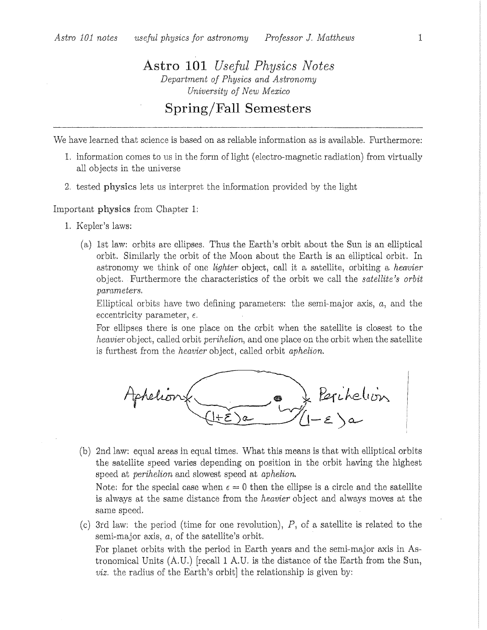## **Astro 101** *Useful Physics Notes* Department of Physics and Astronomy University of New Mexico

Spring/Fall Semesters

We have learned that science is based on as reliable information as is available. Furthermore:

- 1. information comes to us in the form of light (electro-magnetic radiation) from virtually all objects in the universe
- 2. tested physics lets us interpret the information provided by the light

Important physics from Chapter 1:

- 1. Kepler's laws:
	- (a) 1st law: orbits are ellipses. Thus the Earth's orbit about the Sun is an elliptical orbit. Similarly the orbit of the Moon about the Earth is an elliptical orbit. In astronomy we think of one *lighter* object, call it a satellite, orbiting a *heavier* object. Furthermore the characteristics of the orbit we call the *satellite's orbit* parameters.

Elliptical orbits have two defining parameters: the semi-major axis,  $a$ , and the eccentricity parameter,  $\epsilon$ .

For ellipses there is one place on the orbit when the satellite is closest to the *heavier* object, called orbit *perihelion*, and one place on the orbit when the satellite is furthest from the *heavier* object, called orbit *aphelion*.



(b) 2nd law: equal areas in equal times. What this means is that with elliptical orbits the satellite speed varies depending on position in the orbit having the highest speed at *perihelion* and slowest speed at *aphelion*.

Note: for the special case when  $\epsilon = 0$  then the ellipse is a circle and the satellite is always at the same distance from the *heavier* object and always moves at the same speed.

(c) 3rd law: the period (time for one revolution),  $P$ , of a satellite is related to the semi-major axis,  $a$ , of the satellite's orbit. For planet orbits with the period in Earth years and the semi-major axis in Astronomical Units  $(A,U)$  [recall 1 A.U. is the distance of the Earth from the Sun, *viz.* the radius of the Earth's orbit the relationship is given by: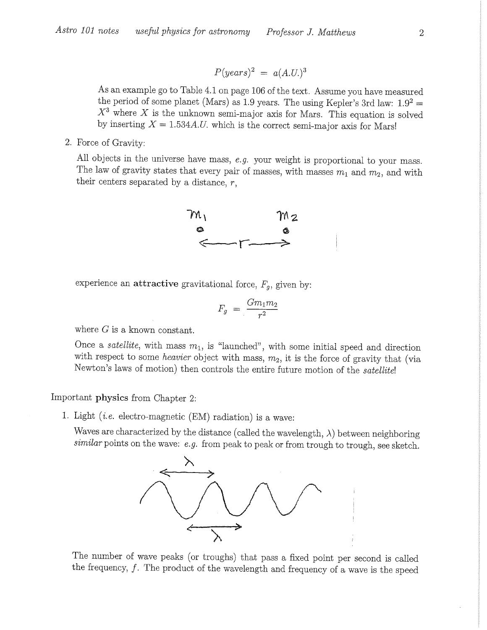$$
P(years)^2 = a(A.U.)^3
$$

As an example go to Table 4.1 on page 106 of the text. Assume you have measured the period of some planet (Mars) as 1.9 years. The using Kepler's 3rd law:  $1.9^2$  =  $X<sup>3</sup>$  where X is the unknown semi-major axis for Mars. This equation is solved by inserting  $X = 1.534 A.U.$  which is the correct semi-major axis for Mars!

2. Force of Gravity:

All objects in the universe have mass,  $e.g.$  your weight is proportional to your mass. The law of gravity states that every pair of masses, with masses  $m_1$  and  $m_2$ , and with their centers separated by a distance,  $r$ ,



experience an attractive gravitational force,  $F_g$ , given by:

$$
F_g = \frac{Gm_1m_2}{r^2}
$$

where  $G$  is a known constant.

Once a *satellite*, with mass  $m_1$ , is "launched", with some initial speed and direction with respect to some *heavier* object with mass,  $m_2$ , it is the force of gravity that (via Newton's laws of motion) then controls the entire future motion of the satellite!

## Important physics from Chapter 2:

1. Light *(i.e.* electro-magnetic  $(EM)$  radiation) is a wave:

Waves are characterized by the distance (called the wavelength,  $\lambda$ ) between neighboring  $similar$  points on the wave: e.g. from peak to peak or from trough to trough, see sketch.



The number of wave peaks (or troughs) that pass a fixed point per second is called the frequency,  $f$ . The product of the wavelength and frequency of a wave is the speed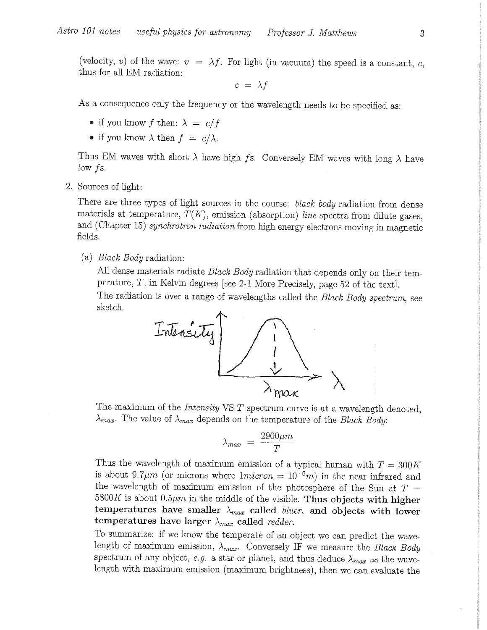(velocity, v) of the wave:  $v = \lambda f$ . For light (in vacuum) the speed is a constant, c, thus for all EM radiation:

 $c = \lambda f$ 

As a consequence only the frequency or the wavelength needs to be specified as:

- if you know f then:  $\lambda = c/f$
- if you know  $\lambda$  then  $f = c/\lambda$ .

Thus EM waves with short  $\lambda$  have high fs. Conversely EM waves with long  $\lambda$  have  $low$  fs.

2. Sources of light:

There are three types of light sources in the course: black body radiation from dense materials at temperature,  $T(K)$ , emission (absorption) line spectra from dilute gases, and (Chapter 15) synchrotron radiation from high energy electrons moving in magnetic fields.

(a) *Black Body* radiation:

All dense materials radiate *Black Body* radiation that depends only on their temperature,  $T$ , in Kelvin degrees [see 2-1 More Precisely, page 52 of the text].

The radiation is over a range of wavelengths called the Black Body spectrum, see sketch.



The maximum of the *Intensity* VS  $T$  spectrum curve is at a wavelength denoted,  $\lambda_{max}$ . The value of  $\lambda_{max}$  depends on the temperature of the *Black Body*:

$$
\lambda_{max} = \frac{2900 \mu m}{T}
$$

Thus the wavelength of maximum emission of a typical human with  $T = 300K$ is about 9.7 $\mu$ m (or microns where  $1micron = 10^{-6}m$ ) in the near infrared and the wavelength of maximum emission of the photosphere of the Sun at  $T =$ 5800K is about 0.5 $\mu$ m in the middle of the visible. Thus objects with higher temperatures have smaller  $\lambda_{max}$  called *bluer*, and objects with lower temperatures have larger  $\lambda_{max}$  called redder.

To summarize: if we know the temperate of an object we can predict the wavelength of maximum emission,  $\lambda_{max}$ . Conversely IF we measure the *Black Body* spectrum of any object, e.g. a star or planet, and thus deduce  $\lambda_{max}$  as the wavelength with maximum emission (maximum brightness), then we can evaluate the